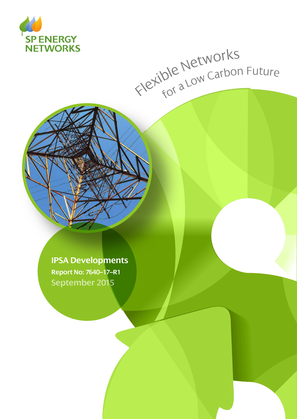

# Flexible Networks<br>Flexible Networks

**IPSA Developments Report No: 7640–17–R1 September 2015**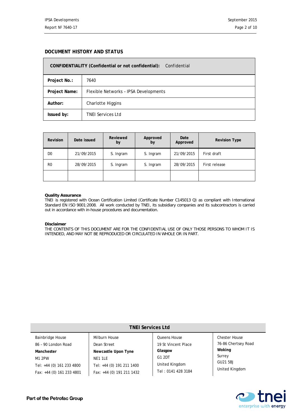#### **DOCUMENT HISTORY AND STATUS**

| CONFIDENTIALITY (Confidential or not confidential):<br>Confidential |                                       |  |  |  |
|---------------------------------------------------------------------|---------------------------------------|--|--|--|
| Project No.:                                                        | 7640                                  |  |  |  |
| Project Name:                                                       | Flexible Networks - IPSA Developments |  |  |  |
| Author:                                                             | Charlotte Higgins                     |  |  |  |
| Issued by:                                                          | <b>TNEI Services Ltd</b>              |  |  |  |

| <b>Revision</b> | Date issued | Reviewed<br>by | Approved<br>by | Date<br>Approved | <b>Revision Type</b> |
|-----------------|-------------|----------------|----------------|------------------|----------------------|
| D <sub>0</sub>  | 21/09/2015  | S. Ingram      | S. Ingram      | 21/09/2015       | First draft          |
| R <sub>0</sub>  | 28/09/2015  | S. Ingram      | S. Ingram      | 28/09/2015       | First release        |
|                 |             |                |                |                  |                      |

#### **Quality Assurance**

TNEI is registered with Ocean Certification Limited (Certificate Number C145013 Q) as compliant with International Standard EN ISO 9001:2008. All work conducted by TNEI, its subsidiary companies and its subcontractors is carried out in accordance with in-house procedures and documentation.

#### **Disclaimer**

THE CONTENTS OF THIS DOCUMENT ARE FOR THE CONFIDENTIAL USE OF ONLY THOSE PERSONS TO WHOM IT IS INTENDED, AND MAY NOT BE REPRODUCED OR CIRCULATED IN WHOLE OR IN PART.

| <b>TNEI Services Ltd</b>  |                           |                     |                      |  |  |  |  |
|---------------------------|---------------------------|---------------------|----------------------|--|--|--|--|
| <b>Bainbridge House</b>   | Milburn House             | Queens House        | <b>Chester House</b> |  |  |  |  |
| 86 - 90 London Road       | Dean Street               | 19 St Vincent Place | 76-86 Chertsey Road  |  |  |  |  |
| Manchester                | Newcastle Upon Tyne       | Glasgow             | Woking               |  |  |  |  |
| M1 2PW                    | NE1 1LE                   | G1 2DT              | Surrey               |  |  |  |  |
| Tel: +44 (0) 161 233 4800 | Tel: +44 (0) 191 211 1400 | United Kingdom      | GU21 5BJ             |  |  |  |  |
| Fax: +44 (0) 161 233 4801 | Fax: +44 (0) 191 211 1432 | Tel: 0141 428 3184  | United Kingdom       |  |  |  |  |

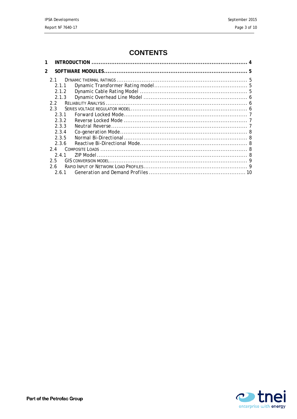# **CONTENTS**

| $\mathcal{P}$ |  |  |
|---------------|--|--|
| 21            |  |  |
| 2.1.1         |  |  |
| 2.1.2         |  |  |
| 2.1.3         |  |  |
| 2.2           |  |  |
| 2.3           |  |  |
| 231           |  |  |
| 2.3.2         |  |  |
| 2.3.3         |  |  |
| 2.3.4         |  |  |
| 2.3.5         |  |  |
| 2.3.6         |  |  |
| 2.4           |  |  |
| 241           |  |  |
| 2.5           |  |  |
| 2.6           |  |  |
| 2.6.1         |  |  |

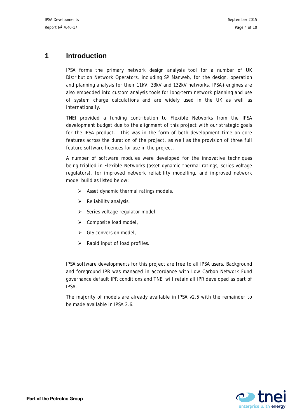# <span id="page-3-0"></span>**1 Introduction**

IPSA forms the primary network design analysis tool for a number of UK Distribution Network Operators, including SP Manweb, for the design, operation and planning analysis for their 11kV, 33kV and 132kV networks. IPSA+ engines are also embedded into custom analysis tools for long-term network planning and use of system charge calculations and are widely used in the UK as well as internationally.

TNEI provided a funding contribution to Flexible Networks from the IPSA development budget due to the alignment of this project with our strategic goals for the IPSA product. This was in the form of both development time on core features across the duration of the project, as well as the provision of three full feature software licences for use in the project.

A number of software modules were developed for the innovative techniques being trialled in Flexible Networks (asset dynamic thermal ratings, series voltage regulators), for improved network reliability modelling, and improved network model build as listed below;

- $\triangleright$  Asset dynamic thermal ratings models,
- $\triangleright$  Reliability analysis,
- $\triangleright$  Series voltage regulator model,
- $\triangleright$  Composite load model,
- $\triangleright$  GIS conversion model,
- $\triangleright$  Rapid input of load profiles.

IPSA software developments for this project are free to all IPSA users. Background and foreground IPR was managed in accordance with Low Carbon Network Fund governance default IPR conditions and TNEI will retain all IPR developed as part of IPSA.

The majority of models are already available in IPSA v2.5 with the remainder to be made available in IPSA 2.6.

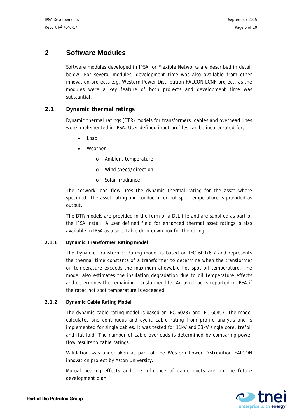## <span id="page-4-0"></span>**2 Software Modules**

Software modules developed in IPSA for Flexible Networks are described in detail below. For several modules, development time was also available from other innovation projects e.g. Western Power Distribution FALCON LCNF project, as the modules were a key feature of both projects and development time was substantial.

## <span id="page-4-1"></span>**2.1 Dynamic thermal ratings**

Dynamic thermal ratings (DTR) models for transformers, cables and overhead lines were implemented in IPSA. User defined input profiles can be incorporated for;

- Load
- **Weather** 
	- o Ambient temperature
	- o Wind speed/direction
	- o Solar irradiance

The network load flow uses the dynamic thermal rating for the asset where specified. The asset rating and conductor or hot spot temperature is provided as output.

The DTR models are provided in the form of a DLL file and are supplied as part of the IPSA install. A user defined field for enhanced thermal asset ratings is also available in IPSA as a selectable drop-down box for the rating.

#### <span id="page-4-2"></span>**2.1.1 Dynamic Transformer Rating model**

The Dynamic Transformer Rating model is based on IEC 60076-7 and represents the thermal time constants of a transformer to determine when the transformer oil temperature exceeds the maximum allowable hot spot oil temperature. The model also estimates the insulation degradation due to oil temperature effects and determines the remaining transformer life. An overload is reported in IPSA if the rated hot spot temperature is exceeded.

#### <span id="page-4-3"></span>**2.1.2 Dynamic Cable Rating Model**

The dynamic cable rating model is based on IEC 60287 and IEC 60853. The model calculates one continuous and cyclic cable rating from profile analysis and is implemented for single cables. It was tested for 11kV and 33kV single core, trefoil and flat laid. The number of cable overloads is determined by comparing power flow results to cable ratings.

Validation was undertaken as part of the Western Power Distribution FALCON innovation project by Aston University.

Mutual heating effects and the influence of cable ducts are on the future development plan.

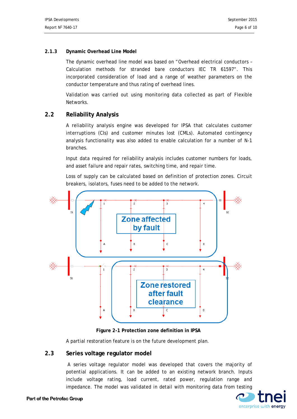#### <span id="page-5-0"></span>**2.1.3 Dynamic Overhead Line Model**

The dynamic overhead line model was based on "Overhead electrical conductors – Calculation methods for stranded bare conductors IEC TR 61597". This incorporated consideration of load and a range of weather parameters on the conductor temperature and thus rating of overhead lines.

Validation was carried out using monitoring data collected as part of Flexible Networks.

### <span id="page-5-1"></span>**2.2 Reliability Analysis**

A reliability analysis engine was developed for IPSA that calculates customer interruptions (CIs) and customer minutes lost (CMLs). Automated contingency analysis functionality was also added to enable calculation for a number of N-1 branches.

Input data required for reliability analysis includes customer numbers for loads, and asset failure and repair rates, switching time, and repair time.

Loss of supply can be calculated based on definition of protection zones. Circuit breakers, isolators, fuses need to be added to the network.





A partial restoration feature is on the future development plan.

#### <span id="page-5-2"></span>**2.3 Series voltage regulator model**

A series voltage regulator model was developed that covers the majority of potential applications. It can be added to an existing network branch. Inputs include voltage rating, load current, rated power, regulation range and impedance. The model was validated in detail with monitoring data from testing

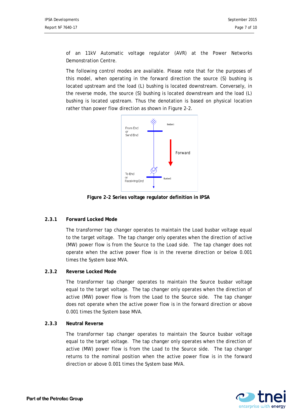of an 11kV Automatic voltage regulator (AVR) at the Power Networks Demonstration Centre.

The following control modes are available. Please note that for the purposes of this model, when operating in the forward direction the source (S) bushing is located upstream and the load (L) bushing is located downstream. Conversely, in the reverse mode, the source (S) bushing is located downstream and the load (L) bushing is located upstream. Thus the denotation is based on physical location rather than power flow direction as shown in [Figure 2-2.](#page-6-3)



**Figure 2-2 Series voltage regulator definition in IPSA**

#### <span id="page-6-3"></span><span id="page-6-0"></span>**2.3.1 Forward Locked Mode**

The transformer tap changer operates to maintain the Load busbar voltage equal to the target voltage. The tap changer only operates when the direction of active (MW) power flow is from the Source to the Load side. The tap changer does not operate when the active power flow is in the reverse direction or below 0.001 times the System base MVA.

#### <span id="page-6-1"></span>**2.3.2 Reverse Locked Mode**

The transformer tap changer operates to maintain the Source busbar voltage equal to the target voltage. The tap changer only operates when the direction of active (MW) power flow is from the Load to the Source side. The tap changer does not operate when the active power flow is in the forward direction or above 0.001 times the System base MVA.

#### <span id="page-6-2"></span>**2.3.3 Neutral Reverse**

The transformer tap changer operates to maintain the Source busbar voltage equal to the target voltage. The tap changer only operates when the direction of active (MW) power flow is from the Load to the Source side. The tap changer returns to the nominal position when the active power flow is in the forward direction or above 0.001 times the System base MVA.

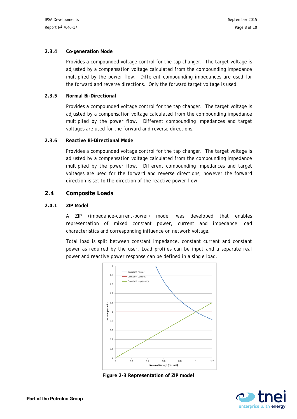#### <span id="page-7-0"></span>**2.3.4 Co-generation Mode**

Provides a compounded voltage control for the tap changer. The target voltage is adjusted by a compensation voltage calculated from the compounding impedance multiplied by the power flow. Different compounding impedances are used for the forward and reverse directions. Only the forward target voltage is used.

#### <span id="page-7-1"></span>**2.3.5 Normal Bi-Directional**

Provides a compounded voltage control for the tap changer. The target voltage is adjusted by a compensation voltage calculated from the compounding impedance multiplied by the power flow. Different compounding impedances and target voltages are used for the forward and reverse directions.

#### <span id="page-7-2"></span>**2.3.6 Reactive Bi-Directional Mode**

Provides a compounded voltage control for the tap changer. The target voltage is adjusted by a compensation voltage calculated from the compounding impedance multiplied by the power flow. Different compounding impedances and target voltages are used for the forward and reverse directions, however the forward direction is set to the direction of the reactive power flow.

#### <span id="page-7-3"></span>**2.4 Composite Loads**

#### <span id="page-7-4"></span>**2.4.1 ZIP Model**

A ZIP (impedance-current-power) model was developed that enables representation of mixed constant power, current and impedance load characteristics and corresponding influence on network voltage.

Total load is split between constant impedance, constant current and constant power as required by the user. Load profiles can be input and a separate real power and reactive power response can be defined in a single load.



**Figure 2-3 Representation of ZIP model**

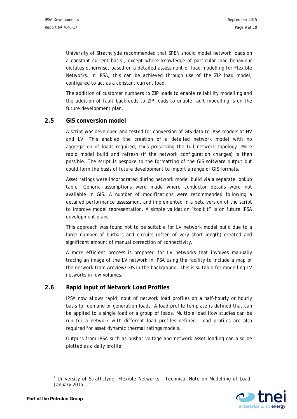University of Strathclyde recommended that SPEN should model network loads on a constant current basis<sup>[1](#page-8-2)</sup>, except where knowledge of particular load behaviour dictates otherwise, based on a detailed assessment of load modelling for Flexible Networks. In IPSA, this can be achieved through use of the ZIP load model, configured to act as a constant current load.

The addition of customer numbers to ZIP loads to enable reliability modelling and the addition of fault backfeeds to ZIP loads to enable fault modelling is on the future development plan.

### <span id="page-8-0"></span>**2.5 GIS conversion model**

A script was developed and tested for conversion of GIS data to IPSA models at HV and LV. This enabled the creation of a detailed network model with no aggregation of loads required, thus preserving the full network topology. More rapid model build and refresh (if the network configuration changes) is then possible. The script is bespoke to the formatting of the GIS software output but could form the basis of future development to import a range of GIS formats.

Asset ratings were incorporated during network model build via a separate lookup table. Generic assumptions were made where conductor details were not available in GIS. A number of modifications were recommended following a detailed performance assessment and implemented in a beta version of the script to improve model representation. A simple validation "toolkit" is on future IPSA development plans.

This approach was found not to be suitable for LV network model build due to a large number of busbars and circuits (often of very short length) created and significant amount of manual correction of connectivity.

A more efficient process is proposed for LV networks that involves manually tracing an image of the LV network in IPSA using the facility to include a map of the network from Arcview/GIS in the background. This is suitable for modelling LV networks in low volumes.

## <span id="page-8-1"></span>**2.6 Rapid Input of Network Load Profiles**

IPSA now allows rapid input of network load profiles on a half-hourly or hourly basis for demand or generation loads. A load profile template is defined that can be applied to a single load or a group of loads. Multiple load flow studies can be run for a network with different load profiles defined. Load profiles are also required for asset dynamic thermal ratings models.

Outputs from IPSA such as busbar voltage and network asset loading can also be plotted as a daily profile.

<span id="page-8-2"></span> $1$  University of Strathclyde, Flexible Networks - Technical Note on Modelling of Load, January 2015.



 $\overline{a}$